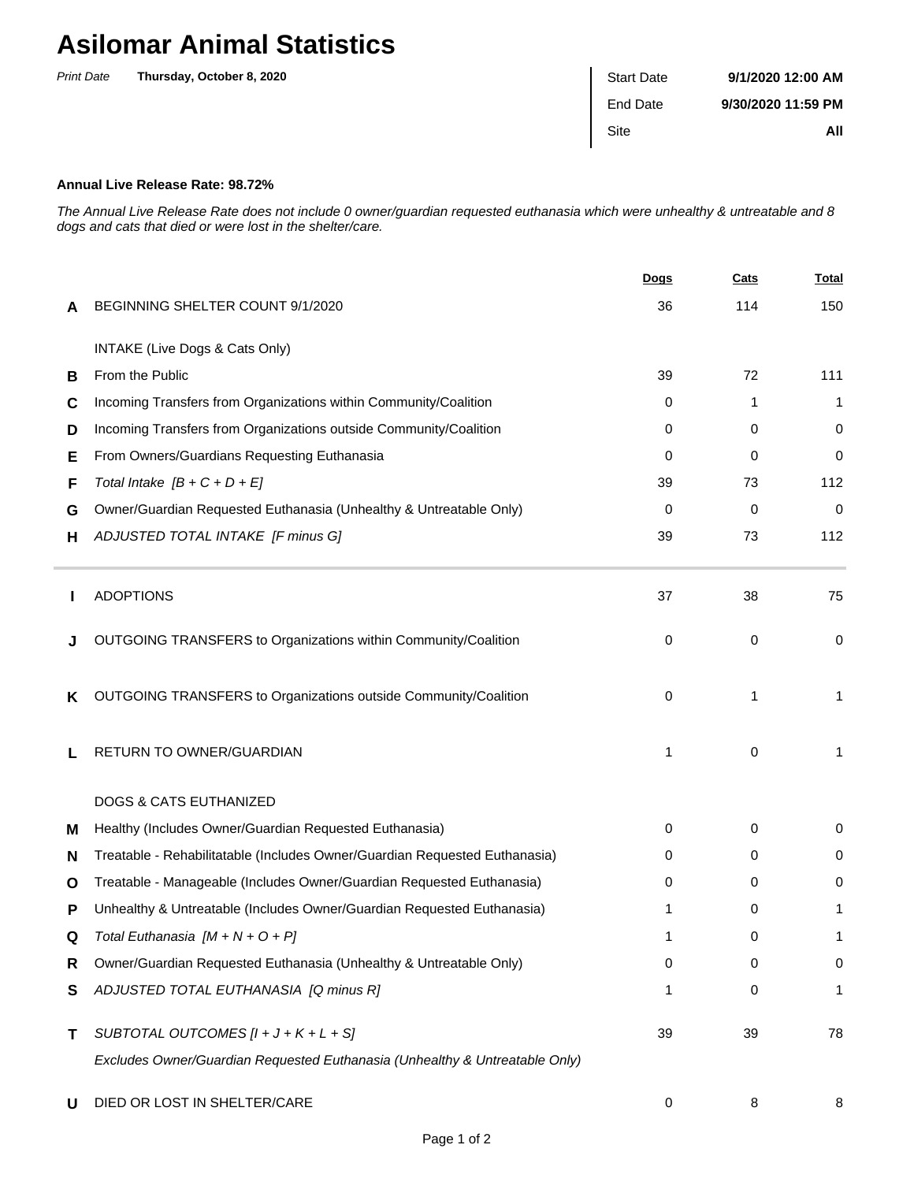## **Asilomar Animal Statistics**

| <b>Print Date</b> | Thursday, October 8, 2020 | <b>Start Date</b> | 9/1/2020 12:00 AM  |
|-------------------|---------------------------|-------------------|--------------------|
|                   |                           | End Date          | 9/30/2020 11:59 PM |
|                   |                           | Site              | All                |
|                   |                           |                   |                    |

## **Annual Live Release Rate: 98.72%**

The Annual Live Release Rate does not include 0 owner/guardian requested euthanasia which were unhealthy & untreatable and 8 dogs and cats that died or were lost in the shelter/care.

|   |                                                                             | Dogs | <b>Cats</b> | <b>Total</b> |
|---|-----------------------------------------------------------------------------|------|-------------|--------------|
| A | BEGINNING SHELTER COUNT 9/1/2020                                            | 36   | 114         | 150          |
|   | INTAKE (Live Dogs & Cats Only)                                              |      |             |              |
| в | From the Public                                                             | 39   | 72          | 111          |
| C | Incoming Transfers from Organizations within Community/Coalition            | 0    | 1           | 1            |
| D | Incoming Transfers from Organizations outside Community/Coalition           | 0    | 0           | 0            |
| Е | From Owners/Guardians Requesting Euthanasia                                 | 0    | 0           | 0            |
| F | Total Intake $[B + C + D + E]$                                              | 39   | 73          | 112          |
| G | Owner/Guardian Requested Euthanasia (Unhealthy & Untreatable Only)          | 0    | 0           | $\mathbf 0$  |
| н | ADJUSTED TOTAL INTAKE [F minus G]                                           | 39   | 73          | 112          |
|   | <b>ADOPTIONS</b>                                                            | 37   | 38          | 75           |
|   | OUTGOING TRANSFERS to Organizations within Community/Coalition              | 0    | 0           | 0            |
| K | OUTGOING TRANSFERS to Organizations outside Community/Coalition             | 0    | 1           | 1            |
| L | RETURN TO OWNER/GUARDIAN                                                    | 1    | 0           | 1            |
|   | <b>DOGS &amp; CATS EUTHANIZED</b>                                           |      |             |              |
| м | Healthy (Includes Owner/Guardian Requested Euthanasia)                      | 0    | 0           | 0            |
| N | Treatable - Rehabilitatable (Includes Owner/Guardian Requested Euthanasia)  | 0    | 0           | 0            |
| O | Treatable - Manageable (Includes Owner/Guardian Requested Euthanasia)       | 0    | 0           | 0            |
| P | Unhealthy & Untreatable (Includes Owner/Guardian Requested Euthanasia)      |      | 0           | 1            |
| Q | Total Euthanasia $[M + N + O + P]$                                          | 1    | 0           |              |
| R | Owner/Guardian Requested Euthanasia (Unhealthy & Untreatable Only)          | 0    | 0           | $\mathbf 0$  |
| S | ADJUSTED TOTAL EUTHANASIA [Q minus R]                                       | 1    | 0           | 1            |
| т | SUBTOTAL OUTCOMES $[l + J + K + L + S]$                                     | 39   | 39          | 78           |
|   | Excludes Owner/Guardian Requested Euthanasia (Unhealthy & Untreatable Only) |      |             |              |
| U | DIED OR LOST IN SHELTER/CARE                                                | 0    | 8           | 8            |